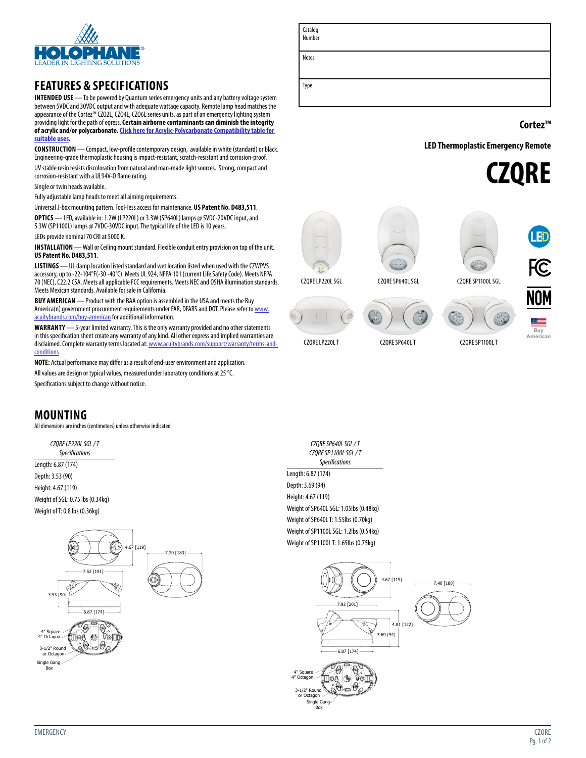

## **FEATURES & SPECIFICATIONS**

**INTENDED USE** — To be powered by Quantum series emergency units and any battery voltage system between 5VDC and 30VDC output and with adequate wattage capacity. Remote lamp head matches the appearance of the Cortez™ CZQ2L, CZQ4L, CZQ6L series units, as part of an emergency lighting system providing light for the path of egress. **Certain airborne contaminants can diminish the integrity of acrylic and/or polycarbonate.[Click here for Acrylic-Polycarbonate Compatibility table for](http://www.acuitybrandslighting.com/library/ll/documents/specsheets/acrylic-polycarbonate-compatibility.pdf)  [suitable uses.](http://www.acuitybrandslighting.com/library/ll/documents/specsheets/acrylic-polycarbonate-compatibility.pdf)**

**CONSTRUCTION** — Compact, low-profile contemporary design, available in white (standard) or black. Engineering-grade thermoplastic housing is impact-resistant, scratch-resistant and corrosion-proof. UV stable resin resists discoloration from natural and man-made light sources. Strong, compact and corrosion-resistant with a UL94V-O flame rating.

Single or twin heads available.

Fully adjustable lamp heads to meet all aiming requirements.

Universal J-box mounting pattern. Tool-less access for maintenance. **US Patent No. D483,511**. **OPTICS** — LED, available in: 1.2W (LP220L) or 3.3W (SP640L) lamps @ 5VDC-20VDC input, and 5.3W (SP1100L) lamps @ 7VDC-30VDC input. The typical life of the LED is 10 years. LEDs provide nominal 70 CRI at 5000 K.

**INSTALLATION** — Wall or Ceiling mount standard. Flexible conduit entry provision on top of the unit. **US Patent No. D483,511**.

**LISTINGS** — UL damp location listed standard and wet location listed when used with the CZWPVS accessory, up to -22-104°F(-30 -40°C). Meets UL 924, NFPA 101 (current Life Safety Code). Meets NFPA 70 (NEC), C22.2 CSA. Meets all applicable FCC requirements. Meets NEC and OSHA illumination standards. Meets Mexican standards. Available for sale in California.

**BUY AMERICAN** — Product with the BAA option is assembled in the USA and meets the Buy America(n) government procurement requirements under FAR, DFARS and DOT. Please refer to [www.](https://www.acuitybrands.com/resources/buy-american) [acuitybrands.com/buy-american](https://www.acuitybrands.com/resources/buy-american) for additional information.

**WARRANTY** — 5-year limited warranty. This is the only warranty provided and no other statements in this specification sheet create any warranty of any kind. All other express and implied warranties are disclaimed. Complete warranty terms located at: [www.acuitybrands.com/support/warranty/terms-and](http://www.acuitybrands.com/support/warranty/terms-and-conditions)[conditions](http://www.acuitybrands.com/support/warranty/terms-and-conditions)

**NOTE:** Actual performance may differ as a result of end-user environment and application.

All values are design or typical values, measured under laboratory conditions at 25 °C.

Specifications subject to change without notice.

### **MOUNTING**

All dimensions are inches (centimeters) unless otherwise indicated.

*CZQRE LP220L SGL / T Specifications* Length: 6.87 (174) Depth: 3.53 (90) Height: 4.67 (119) Weight of SGL: 0.75 lbs (0.34kg) Weight of T: 0.8 lbs (0.36kg)



Catalog Number Notes

**Cortez™**

**LED Thermoplastic Emergency Remote** 









Buy American

CZQRE LP220L T CZQRE SP640L T CZQRE SP1100L T

*CZQRE SP640L SGL / T CZQRE SP1100L SGL / T Specifications* Length: 6.87 (174) Depth: 3.69 (94) Height: 4.67 (119) Weight of SP640L SGL: 1.05lbs (0.48kg) Weight of SP640L T: 1.55lbs (0.70kg) Weight of SP1100L SGL: 1.2lbs (0.54kg) Weight of SP1100L T: 1.65lbs (0.75kg)